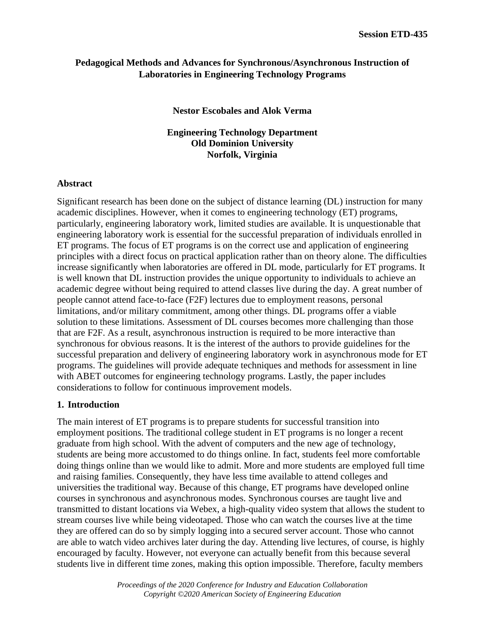### **Pedagogical Methods and Advances for Synchronous/Asynchronous Instruction of Laboratories in Engineering Technology Programs**

**Nestor Escobales and Alok Verma**

**Engineering Technology Department Old Dominion University Norfolk, Virginia**

#### **Abstract**

Significant research has been done on the subject of distance learning (DL) instruction for many academic disciplines. However, when it comes to engineering technology (ET) programs, particularly, engineering laboratory work, limited studies are available. It is unquestionable that engineering laboratory work is essential for the successful preparation of individuals enrolled in ET programs. The focus of ET programs is on the correct use and application of engineering principles with a direct focus on practical application rather than on theory alone. The difficulties increase significantly when laboratories are offered in DL mode, particularly for ET programs. It is well known that DL instruction provides the unique opportunity to individuals to achieve an academic degree without being required to attend classes live during the day. A great number of people cannot attend face-to-face (F2F) lectures due to employment reasons, personal limitations, and/or military commitment, among other things. DL programs offer a viable solution to these limitations. Assessment of DL courses becomes more challenging than those that are F2F. As a result, asynchronous instruction is required to be more interactive than synchronous for obvious reasons. It is the interest of the authors to provide guidelines for the successful preparation and delivery of engineering laboratory work in asynchronous mode for ET programs. The guidelines will provide adequate techniques and methods for assessment in line with ABET outcomes for engineering technology programs. Lastly, the paper includes considerations to follow for continuous improvement models.

#### **1. Introduction**

The main interest of ET programs is to prepare students for successful transition into employment positions. The traditional college student in ET programs is no longer a recent graduate from high school. With the advent of computers and the new age of technology, students are being more accustomed to do things online. In fact, students feel more comfortable doing things online than we would like to admit. More and more students are employed full time and raising families. Consequently, they have less time available to attend colleges and universities the traditional way. Because of this change, ET programs have developed online courses in synchronous and asynchronous modes. Synchronous courses are taught live and transmitted to distant locations via Webex, a high-quality video system that allows the student to stream courses live while being videotaped. Those who can watch the courses live at the time they are offered can do so by simply logging into a secured server account. Those who cannot are able to watch video archives later during the day. Attending live lectures, of course, is highly encouraged by faculty. However, not everyone can actually benefit from this because several students live in different time zones, making this option impossible. Therefore, faculty members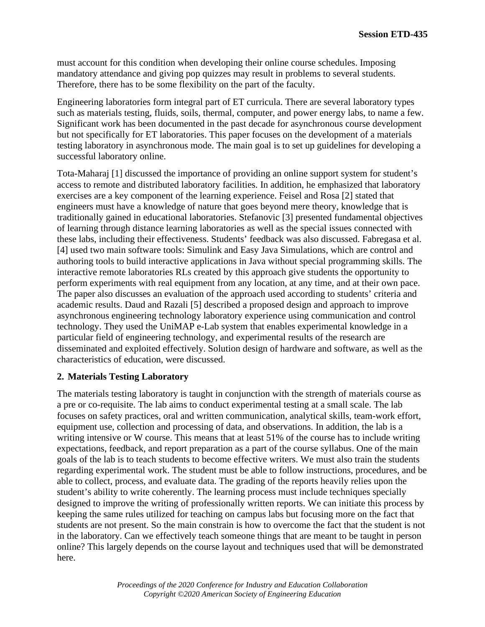must account for this condition when developing their online course schedules. Imposing mandatory attendance and giving pop quizzes may result in problems to several students. Therefore, there has to be some flexibility on the part of the faculty.

Engineering laboratories form integral part of ET curricula. There are several laboratory types such as materials testing, fluids, soils, thermal, computer, and power energy labs, to name a few. Significant work has been documented in the past decade for asynchronous course development but not specifically for ET laboratories. This paper focuses on the development of a materials testing laboratory in asynchronous mode. The main goal is to set up guidelines for developing a successful laboratory online.

Tota-Maharaj [1] discussed the importance of providing an online support system for student's access to remote and distributed laboratory facilities. In addition, he emphasized that laboratory exercises are a key component of the learning experience. Feisel and Rosa [2] stated that engineers must have a knowledge of nature that goes beyond mere theory, knowledge that is traditionally gained in educational laboratories. Stefanovic [3] presented fundamental objectives of learning through distance learning laboratories as well as the special issues connected with these labs, including their effectiveness. Students' feedback was also discussed. Fabregasa et al. [4] used two main software tools: Simulink and Easy Java Simulations, which are control and authoring tools to build interactive applications in Java without special programming skills. The interactive remote laboratories RLs created by this approach give students the opportunity to perform experiments with real equipment from any location, at any time, and at their own pace. The paper also discusses an evaluation of the approach used according to students' criteria and academic results. Daud and Razali [5] described a proposed design and approach to improve asynchronous engineering technology laboratory experience using communication and control technology. They used the UniMAP e-Lab system that enables experimental knowledge in a particular field of engineering technology, and experimental results of the research are disseminated and exploited effectively. Solution design of hardware and software, as well as the characteristics of education, were discussed.

#### **2. Materials Testing Laboratory**

The materials testing laboratory is taught in conjunction with the strength of materials course as a pre or co-requisite. The lab aims to conduct experimental testing at a small scale. The lab focuses on safety practices, oral and written communication, analytical skills, team-work effort, equipment use, collection and processing of data, and observations. In addition, the lab is a writing intensive or W course. This means that at least 51% of the course has to include writing expectations, feedback, and report preparation as a part of the course syllabus. One of the main goals of the lab is to teach students to become effective writers. We must also train the students regarding experimental work. The student must be able to follow instructions, procedures, and be able to collect, process, and evaluate data. The grading of the reports heavily relies upon the student's ability to write coherently. The learning process must include techniques specially designed to improve the writing of professionally written reports. We can initiate this process by keeping the same rules utilized for teaching on campus labs but focusing more on the fact that students are not present. So the main constrain is how to overcome the fact that the student is not in the laboratory. Can we effectively teach someone things that are meant to be taught in person online? This largely depends on the course layout and techniques used that will be demonstrated here.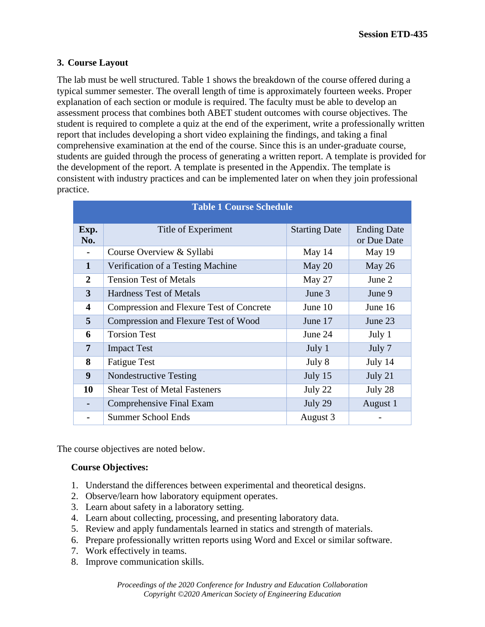## **3. Course Layout**

The lab must be well structured. Table 1 shows the breakdown of the course offered during a typical summer semester. The overall length of time is approximately fourteen weeks. Proper explanation of each section or module is required. The faculty must be able to develop an assessment process that combines both ABET student outcomes with course objectives. The student is required to complete a quiz at the end of the experiment, write a professionally written report that includes developing a short video explaining the findings, and taking a final comprehensive examination at the end of the course. Since this is an under-graduate course, students are guided through the process of generating a written report. A template is provided for the development of the report. A template is presented in the Appendix. The template is consistent with industry practices and can be implemented later on when they join professional practice.

| <b>Table 1 Course Schedule</b> |                                          |                      |                                   |  |  |
|--------------------------------|------------------------------------------|----------------------|-----------------------------------|--|--|
| Exp.<br>No.                    | Title of Experiment                      | <b>Starting Date</b> | <b>Ending Date</b><br>or Due Date |  |  |
|                                | Course Overview & Syllabi                | May 14               | May 19                            |  |  |
| $\mathbf{1}$                   | Verification of a Testing Machine        | May 20               | May 26                            |  |  |
| $\overline{2}$                 | <b>Tension Test of Metals</b>            | May 27               | June 2                            |  |  |
| 3                              | Hardness Test of Metals                  | June 3               | June 9                            |  |  |
| $\overline{\mathbf{4}}$        | Compression and Flexure Test of Concrete | June 10              | June 16                           |  |  |
| 5                              | Compression and Flexure Test of Wood     | June 17              | June 23                           |  |  |
| 6                              | <b>Torsion Test</b>                      | June 24              | July 1                            |  |  |
| $7\phantom{.0}$                | <b>Impact Test</b>                       | July 1               | July 7                            |  |  |
| 8                              | <b>Fatigue Test</b>                      | July 8               | July 14                           |  |  |
| 9                              | <b>Nondestructive Testing</b>            | July 15              | July 21                           |  |  |
| 10                             | <b>Shear Test of Metal Fasteners</b>     | July 22              | July 28                           |  |  |
|                                | Comprehensive Final Exam                 | July 29              | August 1                          |  |  |
| $\blacksquare$                 | <b>Summer School Ends</b>                | August 3             |                                   |  |  |

The course objectives are noted below.

## **Course Objectives:**

- 1. Understand the differences between experimental and theoretical designs.
- 2. Observe/learn how laboratory equipment operates.
- 3. Learn about safety in a laboratory setting.
- 4. Learn about collecting, processing, and presenting laboratory data.
- 5. Review and apply fundamentals learned in statics and strength of materials.
- 6. Prepare professionally written reports using Word and Excel or similar software.
- 7. Work effectively in teams.
- 8. Improve communication skills.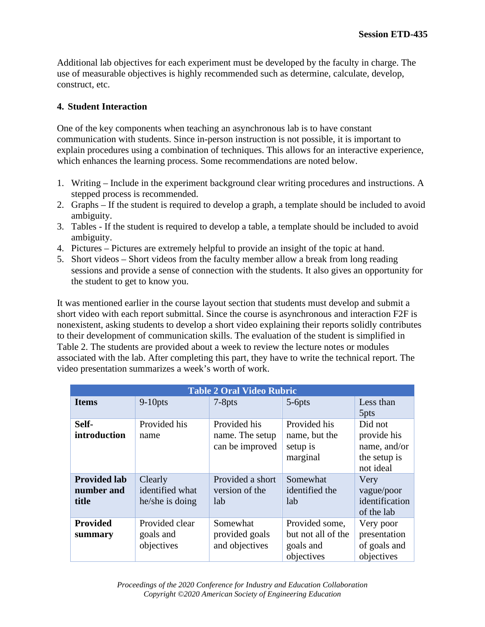Additional lab objectives for each experiment must be developed by the faculty in charge. The use of measurable objectives is highly recommended such as determine, calculate, develop, construct, etc.

#### **4. Student Interaction**

One of the key components when teaching an asynchronous lab is to have constant communication with students. Since in-person instruction is not possible, it is important to explain procedures using a combination of techniques. This allows for an interactive experience, which enhances the learning process. Some recommendations are noted below.

- 1. Writing Include in the experiment background clear writing procedures and instructions. A stepped process is recommended.
- 2. Graphs If the student is required to develop a graph, a template should be included to avoid ambiguity.
- 3. Tables If the student is required to develop a table, a template should be included to avoid ambiguity.
- 4. Pictures Pictures are extremely helpful to provide an insight of the topic at hand.
- 5. Short videos Short videos from the faculty member allow a break from long reading sessions and provide a sense of connection with the students. It also gives an opportunity for the student to get to know you.

It was mentioned earlier in the course layout section that students must develop and submit a short video with each report submittal. Since the course is asynchronous and interaction F2F is nonexistent, asking students to develop a short video explaining their reports solidly contributes to their development of communication skills. The evaluation of the student is simplified in Table 2. The students are provided about a week to review the lecture notes or modules associated with the lab. After completing this part, they have to write the technical report. The video presentation summarizes a week's worth of work.

| <b>Table 2 Oral Video Rubric</b> |                                           |                  |                    |                |  |
|----------------------------------|-------------------------------------------|------------------|--------------------|----------------|--|
| <b>Items</b>                     | $9-10$ pts                                | 7-8pts           | 5-6pts             | Less than      |  |
|                                  |                                           |                  |                    | 5pts           |  |
| Self-                            | Provided his                              | Provided his     | Provided his       | Did not        |  |
| introduction                     | name                                      | name. The setup  | name, but the      | provide his    |  |
|                                  |                                           | can be improved  | setup is           | name, and/or   |  |
|                                  | marginal                                  |                  |                    | the setup is   |  |
|                                  |                                           |                  |                    | not ideal      |  |
| <b>Provided lab</b>              | Clearly                                   | Provided a short | Somewhat           | Very           |  |
| number and                       | identified what                           | version of the   | identified the     | vague/poor     |  |
| title                            | he/she is doing                           | lab              | lab                | identification |  |
|                                  |                                           |                  |                    | of the lab     |  |
| <b>Provided</b>                  | Provided clear<br>Somewhat                |                  | Provided some,     | Very poor      |  |
| summary                          | goals and                                 | provided goals   | but not all of the | presentation   |  |
|                                  | and objectives<br>objectives<br>goals and |                  |                    | of goals and   |  |
|                                  |                                           |                  | objectives         | objectives     |  |

*Proceedings of the 2020 Conference for Industry and Education Collaboration Copyright ©2020 American Society of Engineering Education*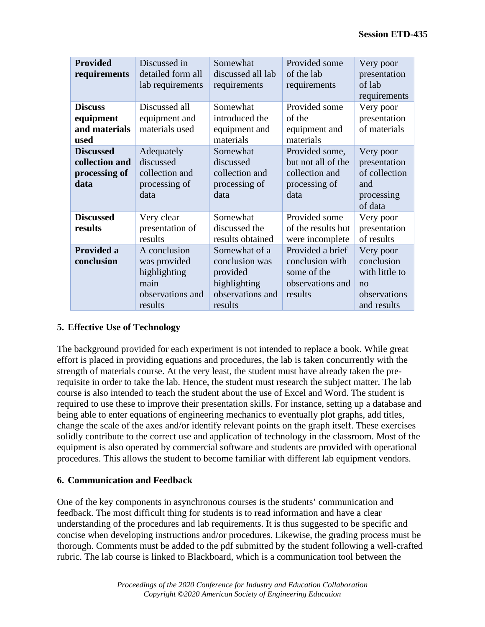| <b>Provided</b><br>requirements                             | Discussed in<br>detailed form all<br>lab requirements                               | Somewhat<br>discussed all lab<br>requirements                                              | Provided some<br>of the lab<br>requirements                                       | Very poor<br>presentation<br>of lab<br>requirements                                        |
|-------------------------------------------------------------|-------------------------------------------------------------------------------------|--------------------------------------------------------------------------------------------|-----------------------------------------------------------------------------------|--------------------------------------------------------------------------------------------|
| <b>Discuss</b><br>equipment<br>and materials<br>used        | Discussed all<br>equipment and<br>materials used                                    | Somewhat<br>introduced the<br>equipment and<br>materials                                   | Provided some<br>of the<br>equipment and<br>materials                             | Very poor<br>presentation<br>of materials                                                  |
| <b>Discussed</b><br>collection and<br>processing of<br>data | Adequately<br>discussed<br>collection and<br>processing of<br>data                  | Somewhat<br>discussed<br>collection and<br>processing of<br>data                           | Provided some,<br>but not all of the<br>collection and<br>processing of<br>data   | Very poor<br>presentation<br>of collection<br>and<br>processing<br>of data                 |
| <b>Discussed</b><br>results                                 | Very clear<br>presentation of<br>results                                            | Somewhat<br>discussed the<br>results obtained                                              | Provided some<br>of the results but<br>were incomplete                            | Very poor<br>presentation<br>of results                                                    |
| Provided a<br>conclusion                                    | A conclusion<br>was provided<br>highlighting<br>main<br>observations and<br>results | Somewhat of a<br>conclusion was<br>provided<br>highlighting<br>observations and<br>results | Provided a brief<br>conclusion with<br>some of the<br>observations and<br>results | Very poor<br>conclusion<br>with little to<br>n <sub>O</sub><br>observations<br>and results |

# **5. Effective Use of Technology**

The background provided for each experiment is not intended to replace a book. While great effort is placed in providing equations and procedures, the lab is taken concurrently with the strength of materials course. At the very least, the student must have already taken the prerequisite in order to take the lab. Hence, the student must research the subject matter. The lab course is also intended to teach the student about the use of Excel and Word. The student is required to use these to improve their presentation skills. For instance, setting up a database and being able to enter equations of engineering mechanics to eventually plot graphs, add titles, change the scale of the axes and/or identify relevant points on the graph itself. These exercises solidly contribute to the correct use and application of technology in the classroom. Most of the equipment is also operated by commercial software and students are provided with operational procedures. This allows the student to become familiar with different lab equipment vendors.

## **6. Communication and Feedback**

One of the key components in asynchronous courses is the students' communication and feedback. The most difficult thing for students is to read information and have a clear understanding of the procedures and lab requirements. It is thus suggested to be specific and concise when developing instructions and/or procedures. Likewise, the grading process must be thorough. Comments must be added to the pdf submitted by the student following a well-crafted rubric. The lab course is linked to Blackboard, which is a communication tool between the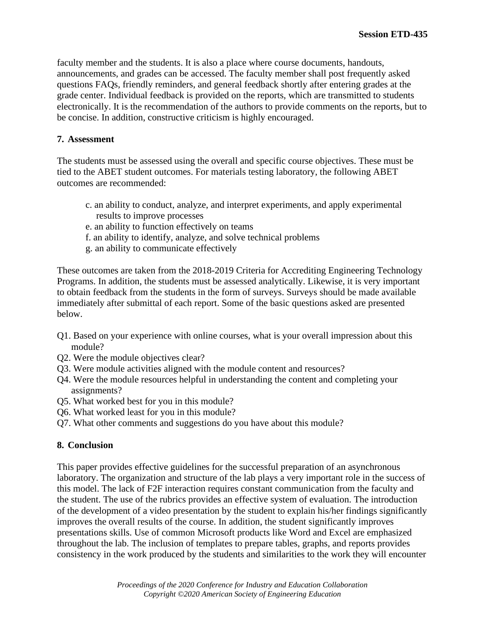faculty member and the students. It is also a place where course documents, handouts, announcements, and grades can be accessed. The faculty member shall post frequently asked questions FAQs, friendly reminders, and general feedback shortly after entering grades at the grade center. Individual feedback is provided on the reports, which are transmitted to students electronically. It is the recommendation of the authors to provide comments on the reports, but to be concise. In addition, constructive criticism is highly encouraged.

#### **7. Assessment**

The students must be assessed using the overall and specific course objectives. These must be tied to the ABET student outcomes. For materials testing laboratory, the following ABET outcomes are recommended:

- c. an ability to conduct, analyze, and interpret experiments, and apply experimental results to improve processes
- e. an ability to function effectively on teams
- f. an ability to identify, analyze, and solve technical problems
- g. an ability to communicate effectively

These outcomes are taken from the 2018-2019 Criteria for Accrediting Engineering Technology Programs. In addition, the students must be assessed analytically. Likewise, it is very important to obtain feedback from the students in the form of surveys. Surveys should be made available immediately after submittal of each report. Some of the basic questions asked are presented below.

- Q1. Based on your experience with online courses, what is your overall impression about this module?
- Q2. Were the module objectives clear?
- Q3. Were module activities aligned with the module content and resources?
- Q4. Were the module resources helpful in understanding the content and completing your assignments?
- Q5. What worked best for you in this module?
- Q6. What worked least for you in this module?
- Q7. What other comments and suggestions do you have about this module?

#### **8. Conclusion**

This paper provides effective guidelines for the successful preparation of an asynchronous laboratory. The organization and structure of the lab plays a very important role in the success of this model. The lack of F2F interaction requires constant communication from the faculty and the student. The use of the rubrics provides an effective system of evaluation. The introduction of the development of a video presentation by the student to explain his/her findings significantly improves the overall results of the course. In addition, the student significantly improves presentations skills. Use of common Microsoft products like Word and Excel are emphasized throughout the lab. The inclusion of templates to prepare tables, graphs, and reports provides consistency in the work produced by the students and similarities to the work they will encounter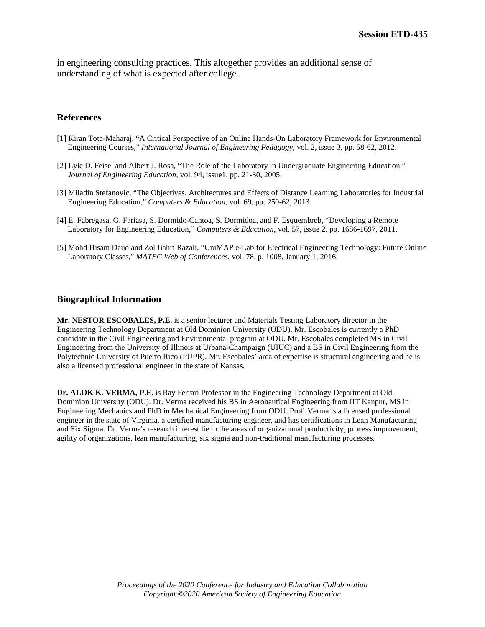in engineering consulting practices. This altogether provides an additional sense of understanding of what is expected after college.

#### **References**

- [1] Kiran Tota-Maharaj, "A Critical Perspective of an Online Hands-On Laboratory Framework for Environmental Engineering Courses," *International Journal of Engineering Pedagogy*, vol. 2, issue 3, pp. 58-62, 2012.
- [2] Lyle D. Feisel and Albert J. Rosa, "The Role of the Laboratory in Undergraduate Engineering Education," *Journal of Engineering Education*, vol. 94, issue1, pp. 21-30, 2005.
- [3] Miladin Stefanovic, "The Objectives, Architectures and Effects of Distance Learning Laboratories for Industrial Engineering Education," *Computers & Education*, vol. 69, pp. 250-62, 2013.
- [4] E. Fabregasa, G. Fariasa, S. Dormido-Cantoa, S. Dormidoa, and F. Esquembreb, "Developing a Remote Laboratory for Engineering Education," *Computers & Education*, vol. 57, issue 2, pp. 1686-1697, 2011.
- [5] Mohd Hisam Daud and Zol Bahri Razali, "UniMAP e-Lab for Electrical Engineering Technology: Future Online Laboratory Classes," *MATEC Web of Conferences*, vol. 78, p. 1008, January 1, 2016.

#### **Biographical Information**

**Mr. NESTOR ESCOBALES, P.E.** is a senior lecturer and Materials Testing Laboratory director in the Engineering Technology Department at Old Dominion University (ODU). Mr. Escobales is currently a PhD candidate in the Civil Engineering and Environmental program at ODU. Mr. Escobales completed MS in Civil Engineering from the University of Illinois at Urbana-Champaign (UIUC) and a BS in Civil Engineering from the Polytechnic University of Puerto Rico (PUPR). Mr. Escobales' area of expertise is structural engineering and he is also a licensed professional engineer in the state of Kansas.

**Dr. ALOK K. VERMA, P.E.** is Ray Ferrari Professor in the Engineering Technology Department at Old Dominion University (ODU). Dr. Verma received his BS in Aeronautical Engineering from IIT Kanpur, MS in Engineering Mechanics and PhD in Mechanical Engineering from ODU. Prof. Verma is a licensed professional engineer in the state of Virginia, a certified manufacturing engineer, and has certifications in Lean Manufacturing and Six Sigma. Dr. Verma's research interest lie in the areas of organizational productivity, process improvement, agility of organizations, lean manufacturing, six sigma and non-traditional manufacturing processes.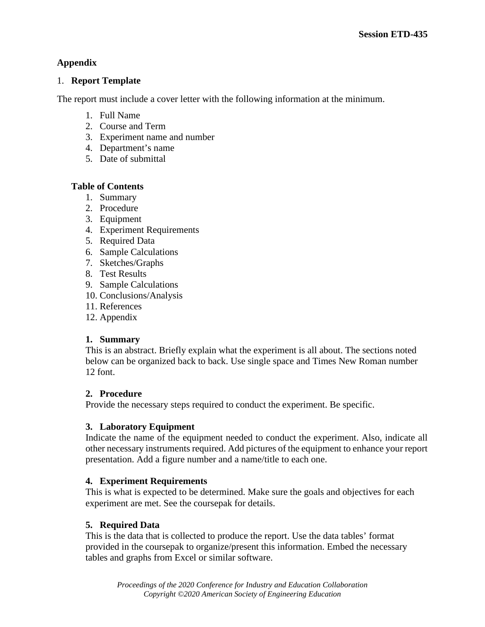## **Appendix**

### 1. **Report Template**

The report must include a cover letter with the following information at the minimum.

- 1. Full Name
- 2. Course and Term
- 3. Experiment name and number
- 4. Department's name
- 5. Date of submittal

## **Table of Contents**

- 1. Summary
- 2. Procedure
- 3. Equipment
- 4. Experiment Requirements
- 5. Required Data
- 6. Sample Calculations
- 7. Sketches/Graphs
- 8. Test Results
- 9. Sample Calculations
- 10. Conclusions/Analysis
- 11. References
- 12. Appendix

## **1. Summary**

This is an abstract. Briefly explain what the experiment is all about. The sections noted below can be organized back to back. Use single space and Times New Roman number 12 font.

# **2. Procedure**

Provide the necessary steps required to conduct the experiment. Be specific.

## **3. Laboratory Equipment**

Indicate the name of the equipment needed to conduct the experiment. Also, indicate all other necessary instruments required. Add pictures of the equipment to enhance your report presentation. Add a figure number and a name/title to each one.

## **4. Experiment Requirements**

This is what is expected to be determined. Make sure the goals and objectives for each experiment are met. See the coursepak for details.

# **5. Required Data**

This is the data that is collected to produce the report. Use the data tables' format provided in the coursepak to organize/present this information. Embed the necessary tables and graphs from Excel or similar software.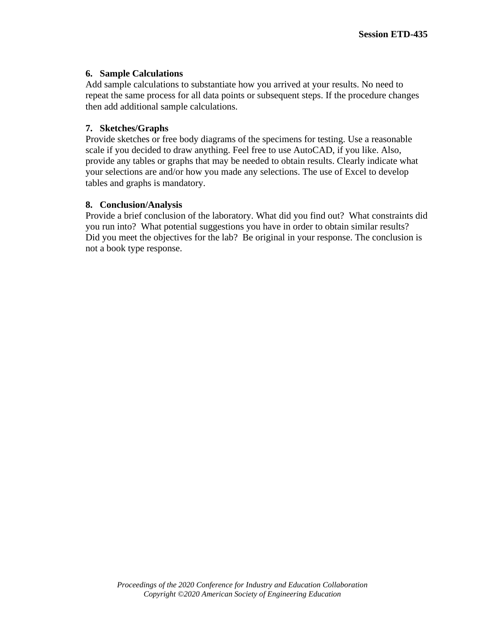#### **6. Sample Calculations**

Add sample calculations to substantiate how you arrived at your results. No need to repeat the same process for all data points or subsequent steps. If the procedure changes then add additional sample calculations.

#### **7. Sketches/Graphs**

Provide sketches or free body diagrams of the specimens for testing. Use a reasonable scale if you decided to draw anything. Feel free to use AutoCAD, if you like. Also, provide any tables or graphs that may be needed to obtain results. Clearly indicate what your selections are and/or how you made any selections. The use of Excel to develop tables and graphs is mandatory.

#### **8. Conclusion/Analysis**

Provide a brief conclusion of the laboratory. What did you find out? What constraints did you run into? What potential suggestions you have in order to obtain similar results? Did you meet the objectives for the lab? Be original in your response. The conclusion is not a book type response.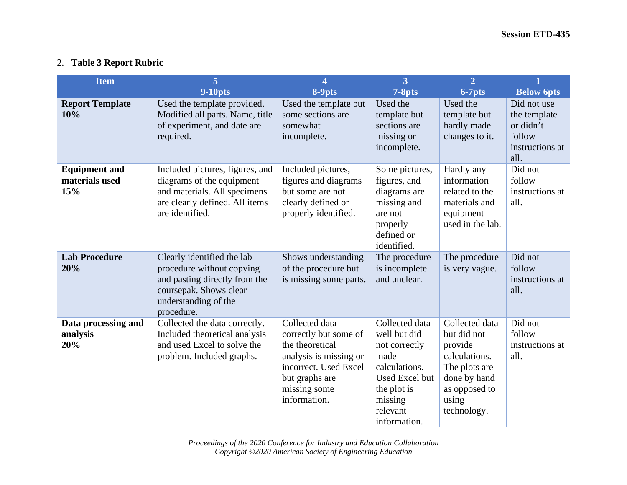# 2. **Table 3 Report Rubric**

| <b>Item</b>                                   | 5                                                                                                                                                        | 4                                                                                                                                                               | 3                                                                                                                                                | $\overline{2}$                                                                                                                      |                                                                               |
|-----------------------------------------------|----------------------------------------------------------------------------------------------------------------------------------------------------------|-----------------------------------------------------------------------------------------------------------------------------------------------------------------|--------------------------------------------------------------------------------------------------------------------------------------------------|-------------------------------------------------------------------------------------------------------------------------------------|-------------------------------------------------------------------------------|
|                                               | <b>9-10pts</b>                                                                                                                                           | 8-9pts                                                                                                                                                          | $7-8pts$                                                                                                                                         | $6-7pts$                                                                                                                            | <b>Below 6pts</b>                                                             |
| <b>Report Template</b><br>10%                 | Used the template provided.<br>Modified all parts. Name, title<br>of experiment, and date are<br>required.                                               | Used the template but<br>some sections are<br>somewhat<br>incomplete.                                                                                           | Used the<br>template but<br>sections are<br>missing or<br>incomplete.                                                                            | Used the<br>template but<br>hardly made<br>changes to it.                                                                           | Did not use<br>the template<br>or didn't<br>follow<br>instructions at<br>all. |
| <b>Equipment and</b><br>materials used<br>15% | Included pictures, figures, and<br>diagrams of the equipment<br>and materials. All specimens<br>are clearly defined. All items<br>are identified.        | Included pictures,<br>figures and diagrams<br>but some are not<br>clearly defined or<br>properly identified.                                                    | Some pictures,<br>figures, and<br>diagrams are<br>missing and<br>are not<br>properly<br>defined or<br>identified.                                | Hardly any<br>information<br>related to the<br>materials and<br>equipment<br>used in the lab.                                       | Did not<br>follow<br>instructions at<br>all.                                  |
| <b>Lab Procedure</b><br>20%                   | Clearly identified the lab<br>procedure without copying<br>and pasting directly from the<br>coursepak. Shows clear<br>understanding of the<br>procedure. | Shows understanding<br>of the procedure but<br>is missing some parts.                                                                                           | The procedure<br>is incomplete<br>and unclear.                                                                                                   | The procedure<br>is very vague.                                                                                                     | Did not<br>follow<br>instructions at<br>all.                                  |
| Data processing and<br>analysis<br>20%        | Collected the data correctly.<br>Included theoretical analysis<br>and used Excel to solve the<br>problem. Included graphs.                               | Collected data<br>correctly but some of<br>the theoretical<br>analysis is missing or<br>incorrect. Used Excel<br>but graphs are<br>missing some<br>information. | Collected data<br>well but did<br>not correctly<br>made<br>calculations.<br>Used Excel but<br>the plot is<br>missing<br>relevant<br>information. | Collected data<br>but did not<br>provide<br>calculations.<br>The plots are<br>done by hand<br>as opposed to<br>using<br>technology. | Did not<br>follow<br>instructions at<br>all.                                  |